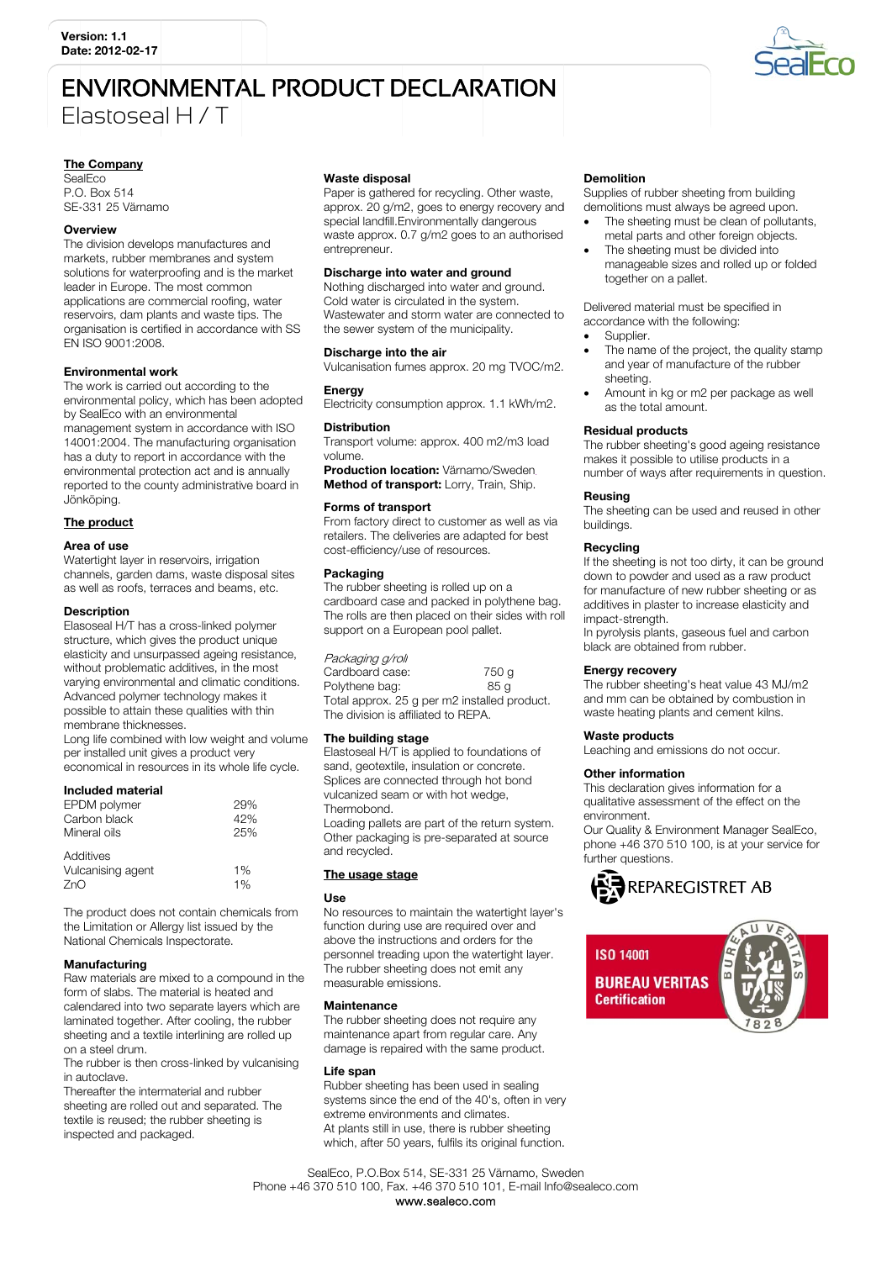# **ENVIRONMENTAL PRODUCT DECLARATION** Flastoseal H / T



## **The Company**

SealEco P.O. Box 514 SE-331 25 Värnamo

## Overview

The division develops manufactures and markets, rubber membranes and system solutions for waterproofing and is the market leader in Europe. The most common applications are commercial roofing, water reservoirs, dam plants and waste tips. The organisation is certified in accordance with SS EN ISO 9001:2008.

## **Environmental work**

The work is carried out according to the environmental policy, which has been adopted by SealEco with an environmental management system in accordance with ISO 14001:2004. The manufacturing organisation has a duty to report in accordance with the environmental protection act and is annually reported to the county administrative board in Jönköping.

## The product

## Area of use

Watertight layer in reservoirs, irrigation channels, garden dams, waste disposal sites as well as roofs, terraces and beams, etc.

## **Description**

Elasoseal H/T has a cross-linked polymer structure, which gives the product unique elasticity and unsurpassed ageing resistance, without problematic additives, in the most varving environmental and climatic conditions. Advanced polymer technology makes it possible to attain these qualities with thin membrane thicknesses.

Long life combined with low weight and volume per installed unit gives a product very economical in resources in its whole life cycle.

## Included material

| EPDM polymer                 | 29%        |
|------------------------------|------------|
| Carbon black<br>Mineral oils | 42%<br>25% |
| Additives                    |            |
| Vulcanising agent            | 1%         |
| 7nC                          | 1%         |

The product does not contain chemicals from the Limitation or Allergy list issued by the National Chemicals Inspectorate.

## Manufacturing

Raw materials are mixed to a compound in the form of slabs. The material is heated and calendared into two separate layers which are laminated together. After cooling, the rubber sheeting and a textile interlining are rolled up on a steel drum.

The rubber is then cross-linked by vulcanising in autoclave

Thereafter the intermaterial and rubber sheeting are rolled out and separated. The textile is reused; the rubber sheeting is inspected and packaged.

#### Waste disposal

Paper is gathered for recycling. Other waste, approx. 20 g/m2, goes to energy recovery and special landfill.Environmentally dangerous waste approx. 0.7 g/m2 goes to an authorised entrenreneur

## Discharge into water and ground

Nothing discharged into water and ground. Cold water is circulated in the system. Wastewater and storm water are connected to the sewer system of the municipality.

#### Discharge into the air

Vulcanisation fumes approx. 20 mg TVOC/m2. Energy

Electricity consumption approx. 1.1 kWh/m2.

## **Distribution**

Transport volume: approx. 400 m2/m3 load volume

Production location: Värnamo/Sweden. Method of transport: Lorry, Train, Ship.

## Forms of transport

From factory direct to customer as well as via retailers. The deliveries are adapted for best cost-efficiency/use of resources.

#### Packaging

The rubber sheeting is rolled up on a cardboard case and packed in polythene bag. The rolls are then placed on their sides with roll support on a European pool pallet.

## Packaging g/roll

Cardboard case: 750 g Polythene bag: 85 g Total approx. 25 q per m2 installed product. The division is affiliated to REPA.

## The building stage

Elastoseal H/T is applied to foundations of sand geotextile insulation or concrete Splices are connected through hot bond vulcanized seam or with hot wedge, Thermobond

Loading pallets are part of the return system. Other packaging is pre-separated at source and recycled.

## The usage stage

## **Lise**

No resources to maintain the watertight layer's function during use are required over and above the instructions and orders for the personnel treading upon the watertight layer. The rubber sheeting does not emit any measurable emissions.

## **Maintenance**

The rubber sheeting does not require any maintenance apart from regular care. Any damage is repaired with the same product.

## Life span

Rubber sheeting has been used in sealing systems since the end of the 40's, often in yery extreme environments and climates. At plants still in use, there is rubber sheeting which, after 50 years, fulfils its original function.

## **Demolition**

Supplies of rubber sheeting from building demolitions must always be agreed upon.

- The sheeting must be clean of pollutants, metal parts and other foreign objects.
- The sheeting must be divided into manageable sizes and rolled up or folded together on a pallet.

Delivered material must be specified in accordance with the following:

- Supplier.
- The name of the project, the quality stamp and year of manufacture of the rubber sheeting
- Amount in kg or m2 per package as well as the total amount.

## **Residual products**

The rubber sheeting's good ageing resistance makes it possible to utilise products in a number of ways after requirements in question.

## Reusing

The sheeting can be used and reused in other buildings.

## Recycling

If the sheeting is not too dirty, it can be ground down to powder and used as a raw product for manufacture of new rubber sheeting or as additives in plaster to increase elasticity and imnact-strength

In pyrolysis plants, gaseous fuel and carbon black are obtained from rubber.

## **Energy recovery**

The rubber sheeting's heat value 43 MJ/m2 and mm can be obtained by combustion in waste heating plants and cement kilns.

# **Waste products**

Leaching and emissions do not occur.

## Other information

This declaration gives information for a qualitative assessment of the effect on the environment

Our Quality & Environment Manager SealEco, phone +46 370 510 100, is at your service for further questions.



**ISO 14001 BUREAU VERITAS Certification** 



SealEco, P.O.Box 514, SE-331 25 Värnamo, Sweden Phone +46 370 510 100, Fax. +46 370 510 101, E-mail Info@sealeco.com www.sealeco.com